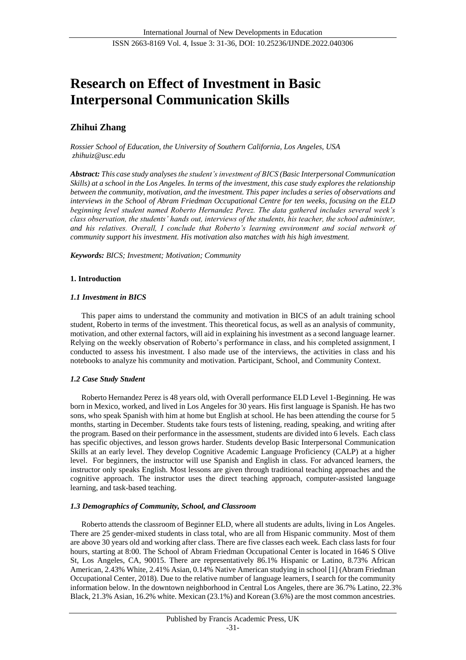# **Research on Effect of Investment in Basic Interpersonal Communication Skills**

# **Zhihui Zhang**

*Rossier School of Education, the University of Southern California, Los Angeles, USA zhihuiz@usc.edu*

*Abstract: This case study analysesthe student's investment of BICS (Basic Interpersonal Communication Skills) at a school in the Los Angeles. In terms of the investment, this case study explores the relationship between the community, motivation, and the investment. This paper includes a series of observations and interviews in the School of Abram Friedman Occupational Centre for ten weeks, focusing on the ELD beginning level student named Roberto Hernandez Perez. The data gathered includes several week's class observation, the students' hands out, interviews of the students, his teacher, the school administer, and his relatives. Overall, I conclude that Roberto's learning environment and social network of community support his investment. His motivation also matches with his high investment.*

*Keywords: BICS; Investment; Motivation; Community*

# **1. Introduction**

# *1.1 Investment in BICS*

This paper aims to understand the community and motivation in BICS of an adult training school student, Roberto in terms of the investment. This theoretical focus, as well as an analysis of community, motivation, and other external factors, will aid in explaining his investment as a second language learner. Relying on the weekly observation of Roberto's performance in class, and his completed assignment, I conducted to assess his investment. I also made use of the interviews, the activities in class and his notebooks to analyze his community and motivation. Participant, School, and Community Context.

# *1.2 Case Study Student*

Roberto Hernandez Perez is 48 years old, with Overall performance ELD Level 1-Beginning. He was born in Mexico, worked, and lived in Los Angeles for 30 years. His first language is Spanish. He has two sons, who speak Spanish with him at home but English at school. He has been attending the course for 5 months, starting in December. Students take fours tests of listening, reading, speaking, and writing after the program. Based on their performance in the assessment, students are divided into 6 levels. Each class has specific objectives, and lesson grows harder. Students develop Basic Interpersonal Communication Skills at an early level. They develop Cognitive Academic Language Proficiency (CALP) at a higher level. For beginners, the instructor will use Spanish and English in class. For advanced learners, the instructor only speaks English. Most lessons are given through traditional teaching approaches and the cognitive approach. The instructor uses the direct teaching approach, computer-assisted language learning, and task-based teaching.

### *1.3 Demographics of Community, School, and Classroom*

Roberto attends the classroom of Beginner ELD, where all students are adults, living in Los Angeles. There are 25 gender-mixed students in class total, who are all from Hispanic community. Most of them are above 30 years old and working after class. There are five classes each week. Each class lasts for four hours, starting at 8:00. The School of Abram Friedman Occupational Center is located in 1646 S Olive St, Los Angeles, CA, 90015. There are representatively 86.1% Hispanic or Latino, 8.73% African American, 2.43% White, 2.41% Asian, 0.14% Native American studying in school [1] (Abram Friedman Occupational Center, 2018). Due to the relative number of language learners, I search for the community information below. In the downtown neighborhood in Central Los Angeles, there are 36.7% Latino, 22.3% Black, 21.3% Asian, 16.2% white. Mexican (23.1%) and Korean (3.6%) are the most common ancestries.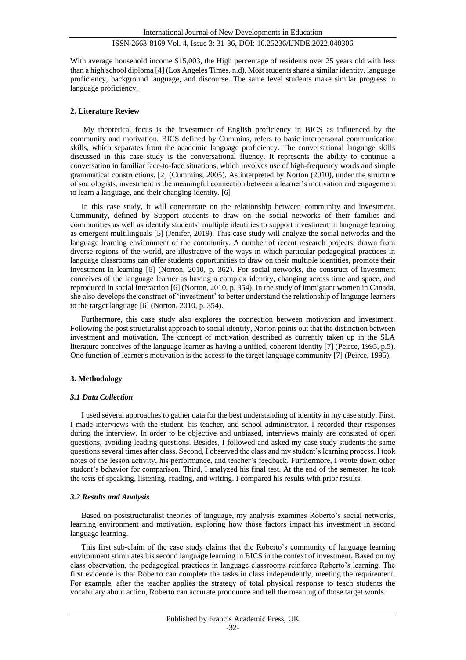With average household income \$15,003, the High percentage of residents over 25 years old with less than a high school diploma [4] (Los Angeles Times, n.d). Most students share a similar identity, language proficiency, background language, and discourse. The same level students make similar progress in language proficiency.

#### **2. Literature Review**

My theoretical focus is the investment of English proficiency in BICS as influenced by the community and motivation. BICS defined by Cummins, refers to basic interpersonal communication skills, which separates from the academic language proficiency. The conversational language skills discussed in this case study is the conversational fluency. It represents the ability to continue a conversation in familiar face-to-face situations, which involves use of high-frequency words and simple grammatical constructions. [2] (Cummins, 2005). As interpreted by Norton (2010), under the structure of sociologists, investment is the meaningful connection between a learner's motivation and engagement to learn a language, and their changing identity. [6]

In this case study, it will concentrate on the relationship between community and investment. Community, defined by Support students to draw on the social networks of their families and communities as well as identify students' multiple identities to support investment in language learning as emergent multilinguals [5] (Jenifer, 2019). This case study will analyze the social networks and the language learning environment of the community. A number of recent research projects, drawn from diverse regions of the world, are illustrative of the ways in which particular pedagogical practices in language classrooms can offer students opportunities to draw on their multiple identities, promote their investment in learning [6] (Norton, 2010, p. 362). For social networks, the construct of investment conceives of the language learner as having a complex identity, changing across time and space, and reproduced in social interaction [6] (Norton, 2010, p. 354). In the study of immigrant women in Canada, she also develops the construct of 'investment' to better understand the relationship of language learners to the target language [6] (Norton, 2010, p. 354).

Furthermore, this case study also explores the connection between motivation and investment. Following the post structuralist approach to social identity, Norton points out that the distinction between investment and motivation. The concept of motivation described as currently taken up in the SLA literature conceives of the language learner as having a unified, coherent identity [7] (Peirce, 1995, p.5). One function of learner's motivation is the access to the target language community [7] (Peirce, 1995).

#### **3. Methodology**

#### *3.1 Data Collection*

I used several approaches to gather data for the best understanding of identity in my case study. First, I made interviews with the student, his teacher, and school administrator. I recorded their responses during the interview. In order to be objective and unbiased, interviews mainly are consisted of open questions, avoiding leading questions. Besides, I followed and asked my case study students the same questions several times after class. Second, I observed the class and my student's learning process. I took notes of the lesson activity, his performance, and teacher's feedback. Furthermore, I wrote down other student's behavior for comparison. Third, I analyzed his final test. At the end of the semester, he took the tests of speaking, listening, reading, and writing. I compared his results with prior results.

#### *3.2 Results and Analysis*

Based on poststructuralist theories of language, my analysis examines Roberto's social networks, learning environment and motivation, exploring how those factors impact his investment in second language learning.

This first sub-claim of the case study claims that the Roberto's community of language learning environment stimulates his second language learning in BICS in the context of investment. Based on my class observation, the pedagogical practices in language classrooms reinforce Roberto's learning. The first evidence is that Roberto can complete the tasks in class independently, meeting the requirement. For example, after the teacher applies the strategy of total physical response to teach students the vocabulary about action, Roberto can accurate pronounce and tell the meaning of those target words.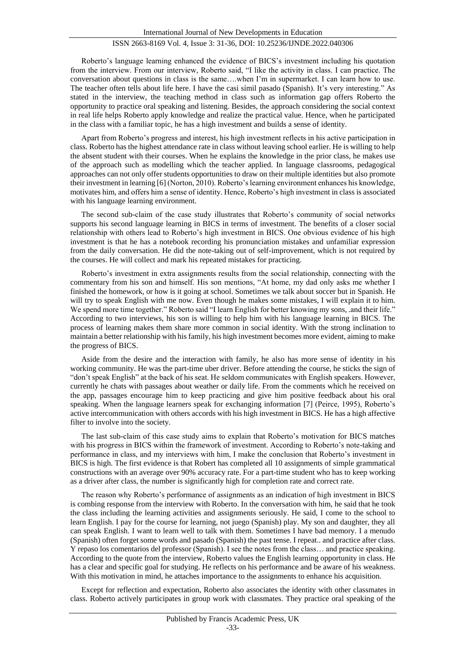Roberto's language learning enhanced the evidence of BICS's investment including his quotation from the interview. From our interview, Roberto said, "I like the activity in class. I can practice. The conversation about questions in class is the same….when I'm in supermarket. I can learn how to use. The teacher often tells about life here. I have the casi símil pasado (Spanish). It's very interesting." As stated in the interview, the teaching method in class such as information gap offers Roberto the opportunity to practice oral speaking and listening. Besides, the approach considering the social context in real life helps Roberto apply knowledge and realize the practical value. Hence, when he participated in the class with a familiar topic, he has a high investment and builds a sense of identity.

Apart from Roberto's progress and interest, his high investment reflects in his active participation in class. Roberto has the highest attendance rate in class without leaving school earlier. He is willing to help the absent student with their courses. When he explains the knowledge in the prior class, he makes use of the approach such as modelling which the teacher applied. In language classrooms, pedagogical approaches can not only offer students opportunities to draw on their multiple identities but also promote their investment in learning [6] (Norton, 2010). Roberto's learning environment enhances his knowledge, motivates him, and offers him a sense of identity. Hence, Roberto's high investment in class is associated with his language learning environment.

The second sub-claim of the case study illustrates that Roberto's community of social networks supports his second language learning in BICS in terms of investment. The benefits of a closer social relationship with others lead to Roberto's high investment in BICS. One obvious evidence of his high investment is that he has a notebook recording his pronunciation mistakes and unfamiliar expression from the daily conversation. He did the note-taking out of self-improvement, which is not required by the courses. He will collect and mark his repeated mistakes for practicing.

Roberto's investment in extra assignments results from the social relationship, connecting with the commentary from his son and himself. His son mentions, "At home, my dad only asks me whether I finished the homework, or how is it going at school. Sometimes we talk about soccer but in Spanish. He will try to speak English with me now. Even though he makes some mistakes, I will explain it to him. We spend more time together." Roberto said "I learn English for better knowing my sons, .and their life." According to two interviews, his son is willing to help him with his language learning in BICS. The process of learning makes them share more common in social identity. With the strong inclination to maintain a better relationship with his family, his high investment becomes more evident, aiming to make the progress of BICS.

Aside from the desire and the interaction with family, he also has more sense of identity in his working community. He was the part-time uber driver. Before attending the course, he sticks the sign of "don't speak English" at the back of his seat. He seldom communicates with English speakers. However, currently he chats with passages about weather or daily life. From the comments which he received on the app, passages encourage him to keep practicing and give him positive feedback about his oral speaking. When the language learners speak for exchanging information [7] (Peirce, 1995), Roberto's active intercommunication with others accords with his high investment in BICS. He has a high affective filter to involve into the society.

The last sub-claim of this case study aims to explain that Roberto's motivation for BICS matches with his progress in BICS within the framework of investment. According to Roberto's note-taking and performance in class, and my interviews with him, I make the conclusion that Roberto's investment in BICS is high. The first evidence is that Robert has completed all 10 assignments of simple grammatical constructions with an average over 90% accuracy rate. For a part-time student who has to keep working as a driver after class, the number is significantly high for completion rate and correct rate.

The reason why Roberto's performance of assignments as an indication of high investment in BICS is combing response from the interview with Roberto. In the conversation with him, he said that he took the class including the learning activities and assignments seriously. He said, I come to the school to learn English. I pay for the course for learning, not juego (Spanish) play. My son and daughter, they all can speak English. I want to learn well to talk with them. Sometimes I have bad memory. I a menudo (Spanish) often forget some words and pasado (Spanish) the past tense. I repeat.. and practice after class. Y repaso los comentarios del professor (Spanish). I see the notes from the class… and practice speaking. According to the quote from the interview, Roberto values the English learning opportunity in class. He has a clear and specific goal for studying. He reflects on his performance and be aware of his weakness. With this motivation in mind, he attaches importance to the assignments to enhance his acquisition.

Except for reflection and expectation, Roberto also associates the identity with other classmates in class. Roberto actively participates in group work with classmates. They practice oral speaking of the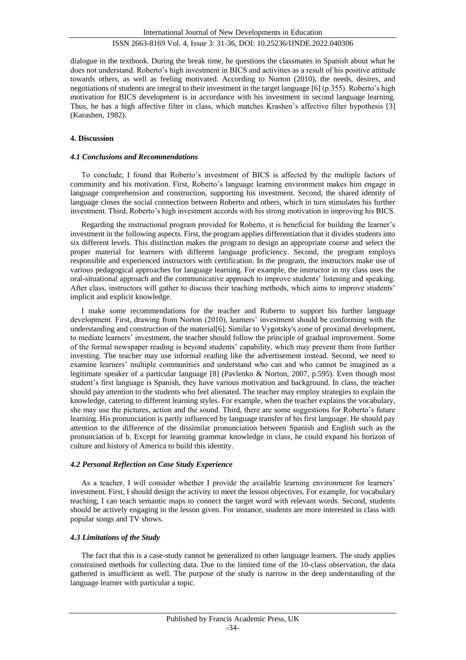dialogue in the textbook. During the break time, he questions the classmates in Spanish about what he does not understand. Roberto's high investment in BICS and activities as a result of his positive attitude towards others, as well as feeling motivated. According to Norton (2010), the needs, desires, and negotiations of students are integral to their investment in the target language [6] (p.355). Roberto's high motivation for BICS development is in accordance with his investment in second language learning. Thus, he has a high affective filter in class, which matches Krashen's affective filter hypothesis [3] (Karashen, 1982).

#### **4. Discussion**

#### *4.1 Conclusions and Recommendations*

To conclude, I found that Roberto's investment of BICS is affected by the multiple factors of community and his motivation. First, Roberto's language learning environment makes him engage in language comprehension and construction, supporting his investment. Second, the shared identity of language closes the social connection between Roberto and others, which in turn stimulates his further investment. Third, Roberto's high investment accords with his strong motivation in improving his BICS.

Regarding the instructional program provided for Roberto, it is beneficial for building the learner's investment in the following aspects. First, the program applies differentiation that it divides students into six different levels. This distinction makes the program to design an appropriate course and select the proper material for learners with different language proficiency. Second, the program employs responsible and experienced instructors with certification. In the program, the instructors make use of various pedagogical approaches for language learning. For example, the instructor in my class uses the oral-situational approach and the communicative approach to improve students' listening and speaking. After class, instructors will gather to discuss their teaching methods, which aims to improve students' implicit and explicit knowledge.

I make some recommendations for the teacher and Roberto to support his further language development. First, drawing from Norton (2010), learners' investment should be conforming with the understanding and construction of the material[6]. Similar to Vygotsky's zone of proximal development, to mediate learners' investment, the teacher should follow the principle of gradual improvement. Some of the formal newspaper reading is beyond students' capability, which may prevent them from further investing. The teacher may use informal reading like the advertisement instead. Second, we need to examine learners' multiple communities and understand who can and who cannot be imagined as a legitimate speaker of a particular language [8] (Pavlenko & Norton, 2007, p.595). Even though most student's first language is Spanish, they have various motivation and background. In class, the teacher should pay attention to the students who feel alienated. The teacher may employ strategies to explain the knowledge, catering to different learning styles. For example, when the teacher explains the vocabulary, she may use the pictures, action and the sound. Third, there are some suggestions for Roberto's future learning. His pronunciation is partly influenced by language transfer of his first language. He should pay attention to the difference of the dissimilar pronunciation between Spanish and English such as the pronunciation of b. Except for learning grammar knowledge in class, he could expand his horizon of culture and history of America to build this identity.

#### *4.2 Personal Reflection on Case Study Experience*

As a teacher, I will consider whether I provide the available learning environment for learners' investment. First, I should design the activity to meet the lesson objectives. For example, for vocabulary teaching, I can teach semantic maps to connect the target word with relevant words. Second, students should be actively engaging in the lesson given. For instance, students are more interested in class with popular songs and TV shows.

### *4.3 Limitations of the Study*

The fact that this is a case-study cannot be generalized to other language learners. The study applies constrained methods for collecting data. Due to the limited time of the 10-class observation, the data gathered is insufficient as well. The purpose of the study is narrow in the deep understanding of the language learner with particular a topic.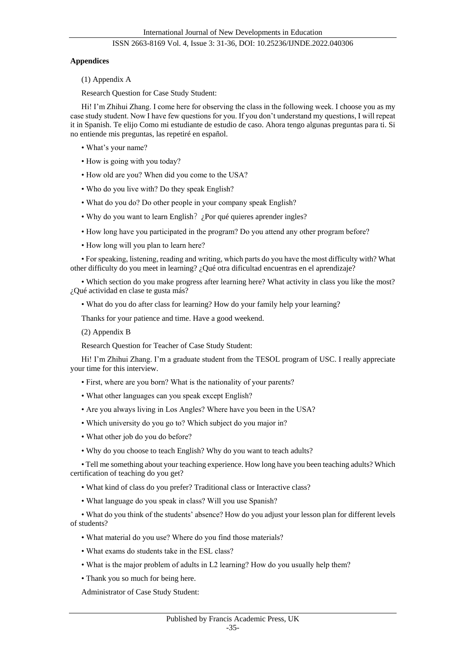### **Appendices**

(1) Appendix A

Research Question for Case Study Student:

Hi! I'm Zhihui Zhang. I come here for observing the class in the following week. I choose you as my case study student. Now I have few questions for you. If you don't understand my questions, I will repeat it in Spanish. Te elijo Como mi estudiante de estudio de caso. Ahora tengo algunas preguntas para ti. Si no entiende mis preguntas, las repetiré en español.

- What's your name?
- How is going with you today?
- How old are you? When did you come to the USA?
- Who do you live with? Do they speak English?
- What do you do? Do other people in your company speak English?
- Why do you want to learn English? ¿Por qué quieres aprender ingles?
- How long have you participated in the program? Do you attend any other program before?
- How long will you plan to learn here?

• For speaking, listening, reading and writing, which parts do you have the most difficulty with? What other difficulty do you meet in learning? ¿Qué otra dificultad encuentras en el aprendizaje?

• Which section do you make progress after learning here? What activity in class you like the most? ¿Qué actividad en clase te gusta más?

• What do you do after class for learning? How do your family help your learning?

Thanks for your patience and time. Have a good weekend.

(2) Appendix B

Research Question for Teacher of Case Study Student:

Hi! I'm Zhihui Zhang. I'm a graduate student from the TESOL program of USC. I really appreciate your time for this interview.

- First, where are you born? What is the nationality of your parents?
- What other languages can you speak except English?
- Are you always living in Los Angles? Where have you been in the USA?
- Which university do you go to? Which subject do you major in?
- What other job do you do before?
- Why do you choose to teach English? Why do you want to teach adults?

• Tell me something about your teaching experience. How long have you been teaching adults? Which certification of teaching do you get?

- What kind of class do you prefer? Traditional class or Interactive class?
- What language do you speak in class? Will you use Spanish?

• What do you think of the students' absence? How do you adjust your lesson plan for different levels of students?

- What material do you use? Where do you find those materials?
- What exams do students take in the ESL class?
- What is the major problem of adults in L2 learning? How do you usually help them?
- Thank you so much for being here.

Administrator of Case Study Student: